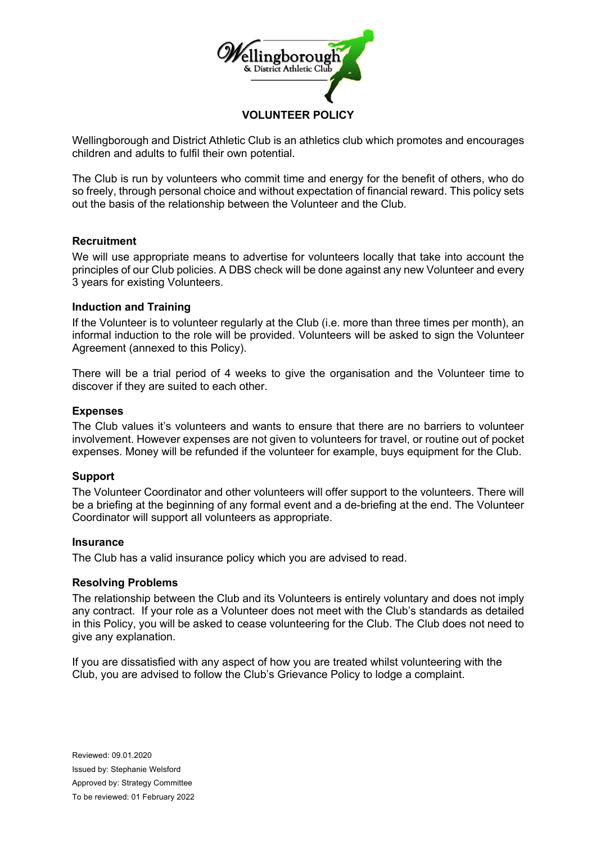

Wellingborough and District Athletic Club is an athletics club which promotes and encourages children and adults to fulfil their own potential.

The Club is run by volunteers who commit time and energy for the benefit of others, who do so freely, through personal choice and without expectation of financial reward. This policy sets out the basis of the relationship between the Volunteer and the Club.

# **Recruitment**

We will use appropriate means to advertise for volunteers locally that take into account the principles of our Club policies. A DBS check will be done against any new Volunteer and every 3 years for existing Volunteers.

# **Induction and Training**

If the Volunteer is to volunteer regularly at the Club (i.e. more than three times per month), an informal induction to the role will be provided. Volunteers will be asked to sign the Volunteer Agreement (annexed to this Policy).

There will be a trial period of 4 weeks to give the organisation and the Volunteer time to discover if they are suited to each other.

# **Expenses**

The Club values it's volunteers and wants to ensure that there are no barriers to volunteer involvement. However expenses are not given to volunteers for travel, or routine out of pocket expenses. Money will be refunded if the volunteer for example, buys equipment for the Club.

### **Support**

The Volunteer Coordinator and other volunteers will offer support to the volunteers. There will be a briefing at the beginning of any formal event and a de-briefing at the end. The Volunteer Coordinator will support all volunteers as appropriate.

### **Insurance**

The Club has a valid insurance policy which you are advised to read.

### **Resolving Problems**

The relationship between the Club and its Volunteers is entirely voluntary and does not imply any contract. If your role as a Volunteer does not meet with the Club's standards as detailed in this Policy, you will be asked to cease volunteering for the Club. The Club does not need to give any explanation.

If you are dissatisfied with any aspect of how you are treated whilst volunteering with the Club, you are advised to follow the Club's Grievance Policy to lodge a complaint.